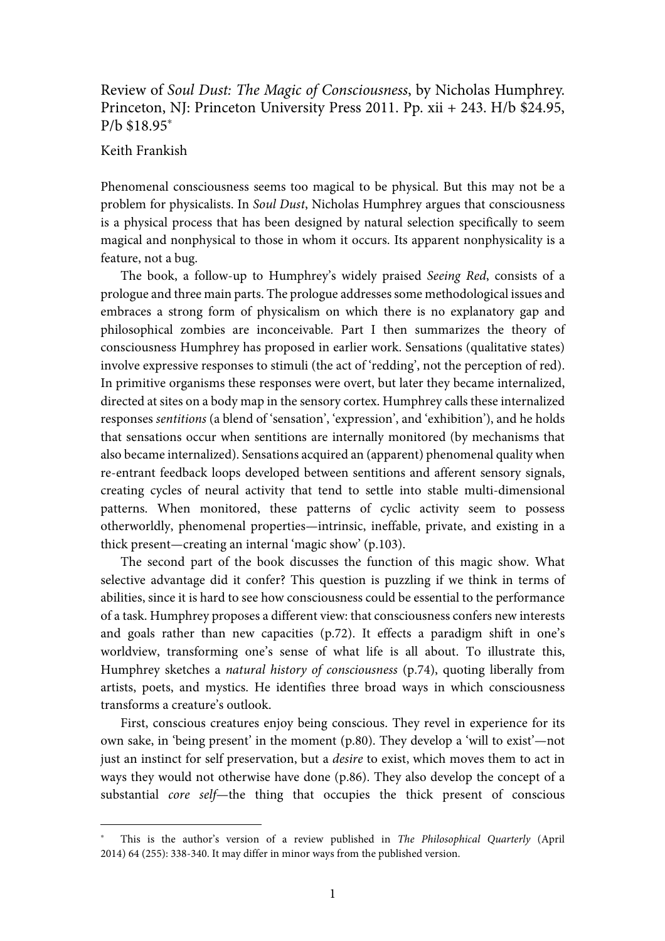Review of Soul Dust: The Magic of Consciousness, by Nicholas Humphrey. Princeton, NJ: Princeton University Press 2011. Pp. xii + 243. H/b \$24.95, P/b \$18.95<sup>∗</sup>

## Keith Frankish

I

Phenomenal consciousness seems too magical to be physical. But this may not be a problem for physicalists. In Soul Dust, Nicholas Humphrey argues that consciousness is a physical process that has been designed by natural selection specifically to seem magical and nonphysical to those in whom it occurs. Its apparent nonphysicality is a feature, not a bug.

 The book, a follow-up to Humphrey's widely praised Seeing Red, consists of a prologue and three main parts. The prologue addresses some methodological issues and embraces a strong form of physicalism on which there is no explanatory gap and philosophical zombies are inconceivable. Part I then summarizes the theory of consciousness Humphrey has proposed in earlier work. Sensations (qualitative states) involve expressive responses to stimuli (the act of 'redding', not the perception of red). In primitive organisms these responses were overt, but later they became internalized, directed at sites on a body map in the sensory cortex. Humphrey calls these internalized responses sentitions (a blend of 'sensation', 'expression', and 'exhibition'), and he holds that sensations occur when sentitions are internally monitored (by mechanisms that also became internalized). Sensations acquired an (apparent) phenomenal quality when re-entrant feedback loops developed between sentitions and afferent sensory signals, creating cycles of neural activity that tend to settle into stable multi-dimensional patterns. When monitored, these patterns of cyclic activity seem to possess otherworldly, phenomenal properties—intrinsic, ineffable, private, and existing in a thick present—creating an internal 'magic show' (p.103).

 The second part of the book discusses the function of this magic show. What selective advantage did it confer? This question is puzzling if we think in terms of abilities, since it is hard to see how consciousness could be essential to the performance of a task. Humphrey proposes a different view: that consciousness confers new interests and goals rather than new capacities (p.72). It effects a paradigm shift in one's worldview, transforming one's sense of what life is all about. To illustrate this, Humphrey sketches a natural history of consciousness (p.74), quoting liberally from artists, poets, and mystics. He identifies three broad ways in which consciousness transforms a creature's outlook.

 First, conscious creatures enjoy being conscious. They revel in experience for its own sake, in 'being present' in the moment (p.80). They develop a 'will to exist'—not just an instinct for self preservation, but a desire to exist, which moves them to act in ways they would not otherwise have done (p.86). They also develop the concept of a substantial core self—the thing that occupies the thick present of conscious

<sup>∗</sup> This is the author's version of a review published in The Philosophical Quarterly (April 2014) 64 (255): 338-340. It may differ in minor ways from the published version.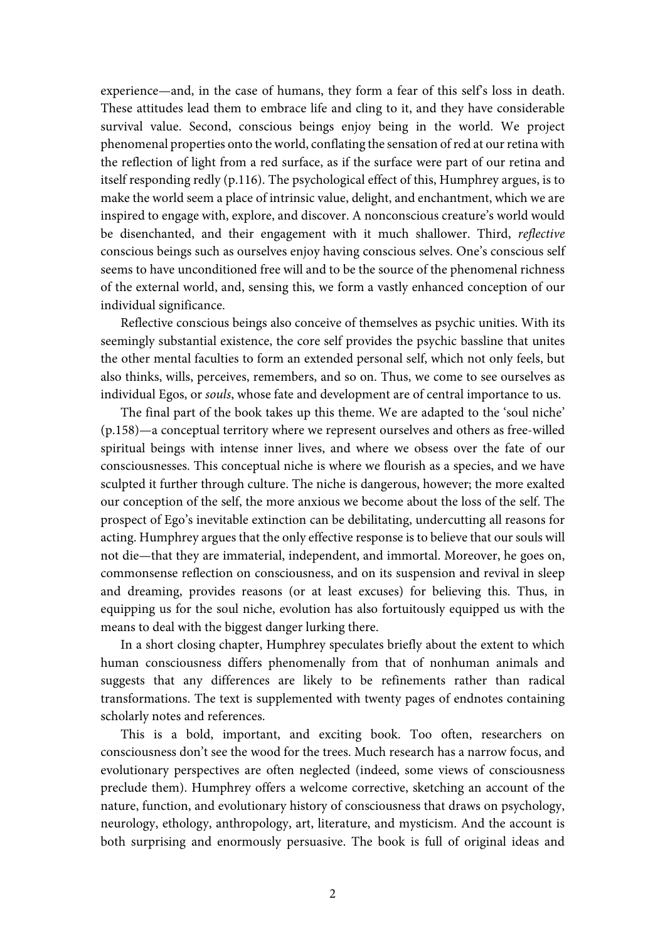experience—and, in the case of humans, they form a fear of this self's loss in death. These attitudes lead them to embrace life and cling to it, and they have considerable survival value. Second, conscious beings enjoy being in the world. We project phenomenal properties onto the world, conflating the sensation of red at our retina with the reflection of light from a red surface, as if the surface were part of our retina and itself responding redly (p.116). The psychological effect of this, Humphrey argues, is to make the world seem a place of intrinsic value, delight, and enchantment, which we are inspired to engage with, explore, and discover. A nonconscious creature's world would be disenchanted, and their engagement with it much shallower. Third, reflective conscious beings such as ourselves enjoy having conscious selves. One's conscious self seems to have unconditioned free will and to be the source of the phenomenal richness of the external world, and, sensing this, we form a vastly enhanced conception of our individual significance.

 Reflective conscious beings also conceive of themselves as psychic unities. With its seemingly substantial existence, the core self provides the psychic bassline that unites the other mental faculties to form an extended personal self, which not only feels, but also thinks, wills, perceives, remembers, and so on. Thus, we come to see ourselves as individual Egos, or souls, whose fate and development are of central importance to us.

 The final part of the book takes up this theme. We are adapted to the 'soul niche' (p.158)—a conceptual territory where we represent ourselves and others as free-willed spiritual beings with intense inner lives, and where we obsess over the fate of our consciousnesses. This conceptual niche is where we flourish as a species, and we have sculpted it further through culture. The niche is dangerous, however; the more exalted our conception of the self, the more anxious we become about the loss of the self. The prospect of Ego's inevitable extinction can be debilitating, undercutting all reasons for acting. Humphrey argues that the only effective response is to believe that our souls will not die—that they are immaterial, independent, and immortal. Moreover, he goes on, commonsense reflection on consciousness, and on its suspension and revival in sleep and dreaming, provides reasons (or at least excuses) for believing this. Thus, in equipping us for the soul niche, evolution has also fortuitously equipped us with the means to deal with the biggest danger lurking there.

 In a short closing chapter, Humphrey speculates briefly about the extent to which human consciousness differs phenomenally from that of nonhuman animals and suggests that any differences are likely to be refinements rather than radical transformations. The text is supplemented with twenty pages of endnotes containing scholarly notes and references.

 This is a bold, important, and exciting book. Too often, researchers on consciousness don't see the wood for the trees. Much research has a narrow focus, and evolutionary perspectives are often neglected (indeed, some views of consciousness preclude them). Humphrey offers a welcome corrective, sketching an account of the nature, function, and evolutionary history of consciousness that draws on psychology, neurology, ethology, anthropology, art, literature, and mysticism. And the account is both surprising and enormously persuasive. The book is full of original ideas and